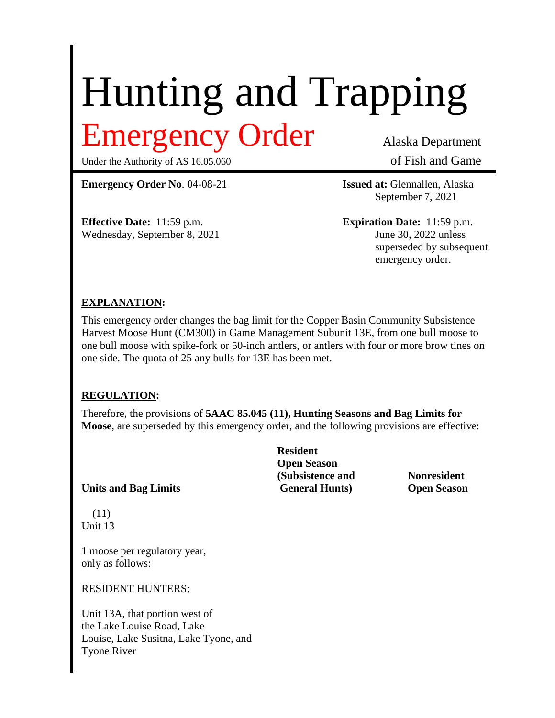# Hunting and Trapping Emergency Order Alaska Department

Under the Authority of AS 16.05.060 of Fish and Game

**Emergency Order No**. 04-08-21 **Issued at:** Glennallen, Alaska

**Effective Date:** 11:59 p.m. **Expiration Date:** 11:59 p.m. Wednesday, September 8, 2021 June 30, 2022 unless

September 7, 2021

superseded by subsequent emergency order.

#### **EXPLANATION:**

This emergency order changes the bag limit for the Copper Basin Community Subsistence Harvest Moose Hunt (CM300) in Game Management Subunit 13E, from one bull moose to one bull moose with spike-fork or 50-inch antlers, or antlers with four or more brow tines on one side. The quota of 25 any bulls for 13E has been met.

#### **REGULATION:**

Therefore, the provisions of **5AAC 85.045 (11), Hunting Seasons and Bag Limits for Moose**, are superseded by this emergency order, and the following provisions are effective:

**Units and Bag Limits General Hunts) Open Season**

 (11) Unit 13

1 moose per regulatory year, only as follows:

RESIDENT HUNTERS:

Unit 13A, that portion west of the Lake Louise Road, Lake Louise, Lake Susitna, Lake Tyone, and Tyone River

**Resident Open Season (Subsistence and Nonresident**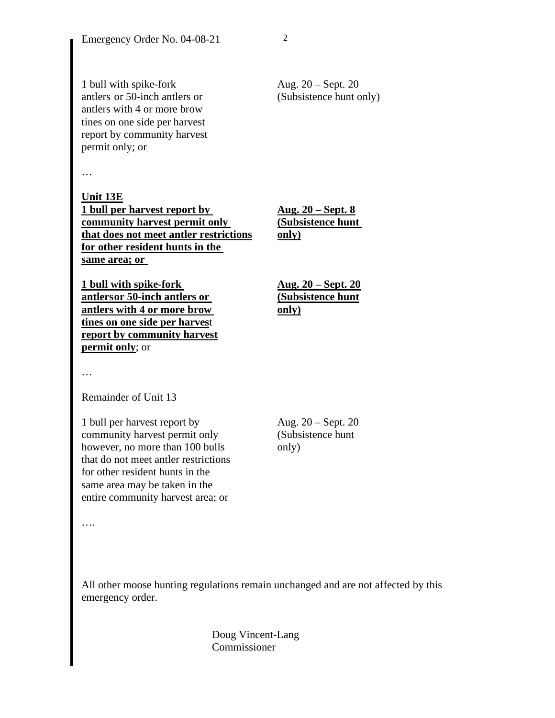1 bull with spike-fork Aug. 20 – Sept. 20 antlers or 50-inch antlers or (Subsistence hunt only) antlers with 4 or more brow tines on one side per harvest report by community harvest permit only; or

…

**Unit 13E 1 bull per harvest report by Aug. 20 – Sept. 8 <u>community harvest permit only</u> (Subsistence hunt that does not meet antler restrictions only) for other resident hunts in the same area; or** 

**1 bull with spike-fork Aug. 20 – Sept. 20 antlersor 50-inch antlers or (Subsistence hunt antlers with 4 or more brow only) tines on one side per harves**t **report by community harvest permit only**; or

…

Remainder of Unit 13

1 bull per harvest report by Aug.  $20 -$ Sept. 20 community harvest permit only (Subsistence hunt however, no more than 100 bulls only that do not meet antler restrictions for other resident hunts in the same area may be taken in the entire community harvest area; or

….

All other moose hunting regulations remain unchanged and are not affected by this emergency order.

> Doug Vincent-Lang Commissioner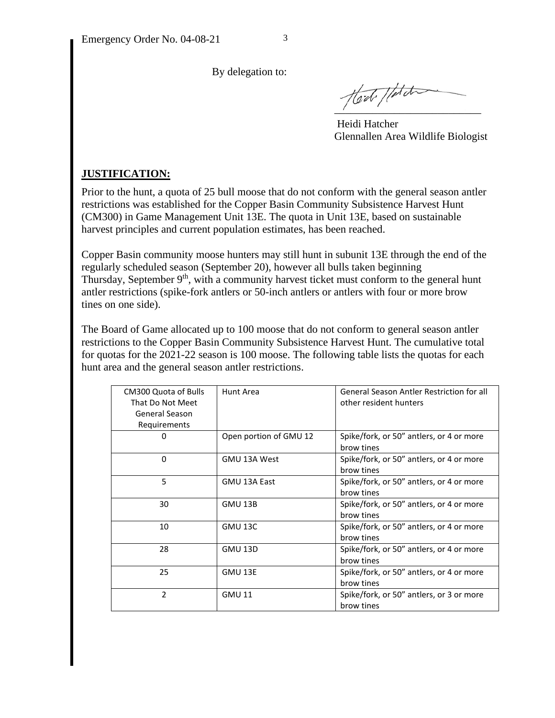By delegation to:

Hest //dd

 Heidi Hatcher Glennallen Area Wildlife Biologist

### **JUSTIFICATION:**

Prior to the hunt, a quota of 25 bull moose that do not conform with the general season antler restrictions was established for the Copper Basin Community Subsistence Harvest Hunt (CM300) in Game Management Unit 13E. The quota in Unit 13E, based on sustainable harvest principles and current population estimates, has been reached.

Copper Basin community moose hunters may still hunt in subunit 13E through the end of the regularly scheduled season (September 20), however all bulls taken beginning Thursday, September  $9<sup>th</sup>$ , with a community harvest ticket must conform to the general hunt antler restrictions (spike-fork antlers or 50-inch antlers or antlers with four or more brow tines on one side).

The Board of Game allocated up to 100 moose that do not conform to general season antler restrictions to the Copper Basin Community Subsistence Harvest Hunt. The cumulative total for quotas for the 2021-22 season is 100 moose. The following table lists the quotas for each hunt area and the general season antler restrictions.

| CM300 Quota of Bulls<br>That Do Not Meet<br>General Season<br>Requirements | Hunt Area              | <b>General Season Antler Restriction for all</b><br>other resident hunters |
|----------------------------------------------------------------------------|------------------------|----------------------------------------------------------------------------|
| 0                                                                          | Open portion of GMU 12 | Spike/fork, or 50" antlers, or 4 or more<br>brow tines                     |
| $\Omega$                                                                   | GMU 13A West           | Spike/fork, or 50" antlers, or 4 or more<br>brow tines                     |
| 5                                                                          | GMU 13A East           | Spike/fork, or 50" antlers, or 4 or more<br>brow tines                     |
| 30                                                                         | GMU 13B                | Spike/fork, or 50" antlers, or 4 or more<br>brow tines                     |
| 10                                                                         | GMU 13C                | Spike/fork, or 50" antlers, or 4 or more<br>brow tines                     |
| 28                                                                         | <b>GMU 13D</b>         | Spike/fork, or 50" antlers, or 4 or more<br>brow tines                     |
| 25                                                                         | GMU 13E                | Spike/fork, or 50" antlers, or 4 or more<br>brow tines                     |
| $\overline{2}$                                                             | <b>GMU 11</b>          | Spike/fork, or 50" antlers, or 3 or more<br>brow tines                     |